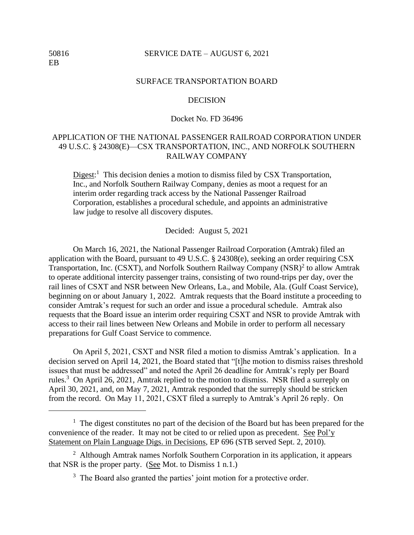## 50816 SERVICE DATE – AUGUST 6, 2021

#### SURFACE TRANSPORTATION BOARD

## **DECISION**

# Docket No. FD 36496

# APPLICATION OF THE NATIONAL PASSENGER RAILROAD CORPORATION UNDER 49 U.S.C. § 24308(E)—CSX TRANSPORTATION, INC., AND NORFOLK SOUTHERN RAILWAY COMPANY

Digest:<sup>1</sup> This decision denies a motion to dismiss filed by CSX Transportation, Inc., and Norfolk Southern Railway Company, denies as moot a request for an interim order regarding track access by the National Passenger Railroad Corporation, establishes a procedural schedule, and appoints an administrative law judge to resolve all discovery disputes.

Decided: August 5, 2021

On March 16, 2021, the National Passenger Railroad Corporation (Amtrak) filed an application with the Board, pursuant to 49 U.S.C. § 24308(e), seeking an order requiring CSX Transportation, Inc. (CSXT), and Norfolk Southern Railway Company  $(NSR)^2$  to allow Amtrak to operate additional intercity passenger trains, consisting of two round-trips per day, over the rail lines of CSXT and NSR between New Orleans, La., and Mobile, Ala. (Gulf Coast Service), beginning on or about January 1, 2022. Amtrak requests that the Board institute a proceeding to consider Amtrak's request for such an order and issue a procedural schedule. Amtrak also requests that the Board issue an interim order requiring CSXT and NSR to provide Amtrak with access to their rail lines between New Orleans and Mobile in order to perform all necessary preparations for Gulf Coast Service to commence.

On April 5, 2021, CSXT and NSR filed a motion to dismiss Amtrak's application. In a decision served on April 14, 2021, the Board stated that "[t]he motion to dismiss raises threshold issues that must be addressed" and noted the April 26 deadline for Amtrak's reply per Board rules.<sup>3</sup> On April 26, 2021, Amtrak replied to the motion to dismiss. NSR filed a surreply on April 30, 2021, and, on May 7, 2021, Amtrak responded that the surreply should be stricken from the record. On May 11, 2021, CSXT filed a surreply to Amtrak's April 26 reply. On

<sup>&</sup>lt;sup>1</sup> The digest constitutes no part of the decision of the Board but has been prepared for the convenience of the reader. It may not be cited to or relied upon as precedent. See Pol'y Statement on Plain Language Digs. in Decisions, EP 696 (STB served Sept. 2, 2010).

<sup>&</sup>lt;sup>2</sup> Although Amtrak names Norfolk Southern Corporation in its application, it appears that NSR is the proper party. (See Mot. to Dismiss 1 n.1.)

 $3$  The Board also granted the parties' joint motion for a protective order.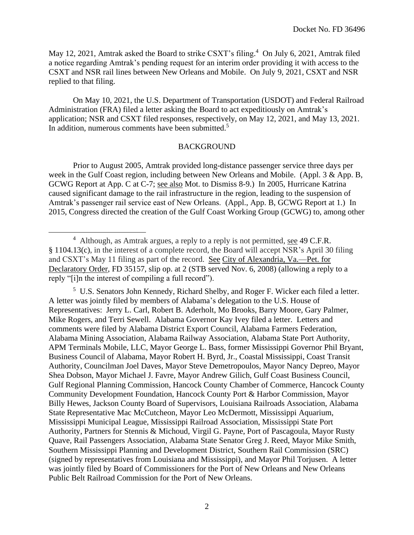May 12, 2021, Amtrak asked the Board to strike CSXT's filing.<sup>4</sup> On July 6, 2021, Amtrak filed a notice regarding Amtrak's pending request for an interim order providing it with access to the CSXT and NSR rail lines between New Orleans and Mobile. On July 9, 2021, CSXT and NSR replied to that filing.

On May 10, 2021, the U.S. Department of Transportation (USDOT) and Federal Railroad Administration (FRA) filed a letter asking the Board to act expeditiously on Amtrak's application; NSR and CSXT filed responses, respectively, on May 12, 2021, and May 13, 2021. In addition, numerous comments have been submitted.<sup>5</sup>

# BACKGROUND

Prior to August 2005, Amtrak provided long-distance passenger service three days per week in the Gulf Coast region, including between New Orleans and Mobile. (Appl. 3 & App. B, GCWG Report at App. C at C-7; see also Mot. to Dismiss 8-9.) In 2005, Hurricane Katrina caused significant damage to the rail infrastructure in the region, leading to the suspension of Amtrak's passenger rail service east of New Orleans. (Appl., App. B, GCWG Report at 1.) In 2015, Congress directed the creation of the Gulf Coast Working Group (GCWG) to, among other

<sup>5</sup> U.S. Senators John Kennedy, Richard Shelby, and Roger F. Wicker each filed a letter. A letter was jointly filed by members of Alabama's delegation to the U.S. House of Representatives: Jerry L. Carl, Robert B. Aderholt, Mo Brooks, Barry Moore, Gary Palmer, Mike Rogers, and Terri Sewell. Alabama Governor Kay Ivey filed a letter. Letters and comments were filed by Alabama District Export Council, Alabama Farmers Federation, Alabama Mining Association, Alabama Railway Association, Alabama State Port Authority, APM Terminals Mobile, LLC, Mayor George L. Bass, former Mississippi Governor Phil Bryant, Business Council of Alabama, Mayor Robert H. Byrd, Jr., Coastal Mississippi, Coast Transit Authority, Councilman Joel Daves, Mayor Steve Demetropoulos, Mayor Nancy Depreo, Mayor Shea Dobson, Mayor Michael J. Favre, Mayor Andrew Gilich, Gulf Coast Business Council, Gulf Regional Planning Commission, Hancock County Chamber of Commerce, Hancock County Community Development Foundation, Hancock County Port & Harbor Commission, Mayor Billy Hewes, Jackson County Board of Supervisors, Louisiana Railroads Association, Alabama State Representative Mac McCutcheon, Mayor Leo McDermott, Mississippi Aquarium, Mississippi Municipal League, Mississippi Railroad Association, Mississippi State Port Authority, Partners for Stennis & Michoud, Virgil G. Payne, Port of Pascagoula, Mayor Rusty Quave, Rail Passengers Association, Alabama State Senator Greg J. Reed, Mayor Mike Smith, Southern Mississippi Planning and Development District, Southern Rail Commission (SRC) (signed by representatives from Louisiana and Mississippi), and Mayor Phil Torjusen. A letter was jointly filed by Board of Commissioners for the Port of New Orleans and New Orleans Public Belt Railroad Commission for the Port of New Orleans.

 $4$  Although, as Amtrak argues, a reply to a reply is not permitted, see 49 C.F.R. § 1104.13(c), in the interest of a complete record, the Board will accept NSR's April 30 filing and CSXT's May 11 filing as part of the record. See City of Alexandria, Va.—Pet. for Declaratory Order, FD 35157, slip op. at 2 (STB served Nov. 6, 2008) (allowing a reply to a reply "[i]n the interest of compiling a full record").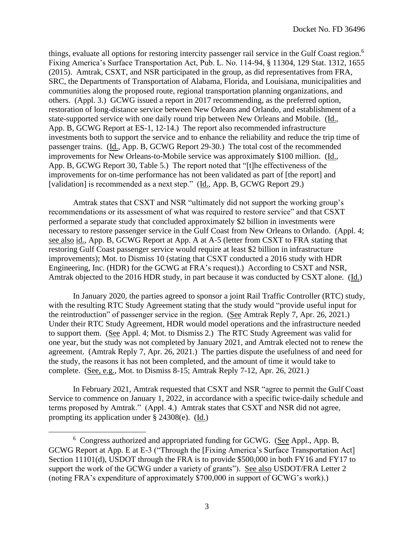things, evaluate all options for restoring intercity passenger rail service in the Gulf Coast region. 6 Fixing America's Surface Transportation Act, Pub. L. No. 114-94, § 11304, 129 Stat. 1312, 1655 (2015). Amtrak, CSXT, and NSR participated in the group, as did representatives from FRA, SRC, the Departments of Transportation of Alabama, Florida, and Louisiana, municipalities and communities along the proposed route, regional transportation planning organizations, and others. (Appl. 3.) GCWG issued a report in 2017 recommending, as the preferred option, restoration of long-distance service between New Orleans and Orlando, and establishment of a state-supported service with one daily round trip between New Orleans and Mobile. (Id., App. B, GCWG Report at ES-1, 12-14.) The report also recommended infrastructure investments both to support the service and to enhance the reliability and reduce the trip time of passenger trains. (Id., App. B, GCWG Report 29-30.) The total cost of the recommended improvements for New Orleans-to-Mobile service was approximately \$100 million. (Id., App. B, GCWG Report 30, Table 5.) The report noted that "[t]he effectiveness of the improvements for on-time performance has not been validated as part of [the report] and [validation] is recommended as a next step." (Id., App. B, GCWG Report 29.)

Amtrak states that CSXT and NSR "ultimately did not support the working group's recommendations or its assessment of what was required to restore service" and that CSXT performed a separate study that concluded approximately \$2 billion in investments were necessary to restore passenger service in the Gulf Coast from New Orleans to Orlando. (Appl. 4; see also id., App. B, GCWG Report at App. A at A-5 (letter from CSXT to FRA stating that restoring Gulf Coast passenger service would require at least \$2 billion in infrastructure improvements); Mot. to Dismiss 10 (stating that CSXT conducted a 2016 study with HDR Engineering, Inc. (HDR) for the GCWG at FRA's request).) According to CSXT and NSR, Amtrak objected to the 2016 HDR study, in part because it was conducted by CSXT alone. (Id.)

In January 2020, the parties agreed to sponsor a joint Rail Traffic Controller (RTC) study, with the resulting RTC Study Agreement stating that the study would "provide useful input for the reintroduction" of passenger service in the region. (See Amtrak Reply 7, Apr. 26, 2021.) Under their RTC Study Agreement, HDR would model operations and the infrastructure needed to support them. (See Appl. 4; Mot. to Dismiss 2.) The RTC Study Agreement was valid for one year, but the study was not completed by January 2021, and Amtrak elected not to renew the agreement. (Amtrak Reply 7, Apr. 26, 2021.) The parties dispute the usefulness of and need for the study, the reasons it has not been completed, and the amount of time it would take to complete. (See, e.g., Mot. to Dismiss 8-15; Amtrak Reply 7-12, Apr. 26, 2021.)

In February 2021, Amtrak requested that CSXT and NSR "agree to permit the Gulf Coast Service to commence on January 1, 2022, in accordance with a specific twice-daily schedule and terms proposed by Amtrak." (Appl. 4.) Amtrak states that CSXT and NSR did not agree, prompting its application under § 24308(e). (Id.)

<sup>&</sup>lt;sup>6</sup> Congress authorized and appropriated funding for GCWG. (See Appl., App. B, GCWG Report at App. E at E-3 ("Through the [Fixing America's Surface Transportation Act] Section 11101(d), USDOT through the FRA is to provide \$500,000 in both FY16 and FY17 to support the work of the GCWG under a variety of grants"). See also USDOT/FRA Letter 2 (noting FRA's expenditure of approximately \$700,000 in support of GCWG's work).)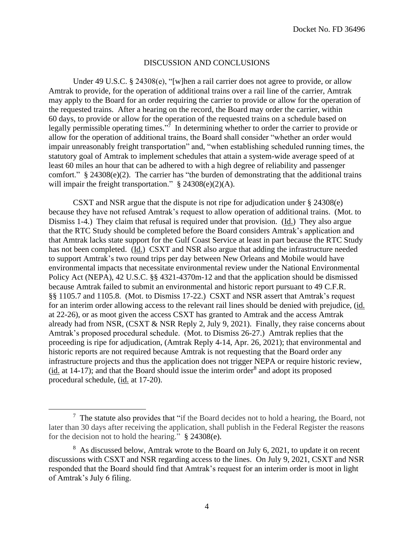## DISCUSSION AND CONCLUSIONS

Under 49 U.S.C. § 24308(e), "[w]hen a rail carrier does not agree to provide, or allow Amtrak to provide, for the operation of additional trains over a rail line of the carrier, Amtrak may apply to the Board for an order requiring the carrier to provide or allow for the operation of the requested trains. After a hearing on the record, the Board may order the carrier, within 60 days, to provide or allow for the operation of the requested trains on a schedule based on legally permissible operating times."<sup>7</sup> In determining whether to order the carrier to provide or allow for the operation of additional trains, the Board shall consider "whether an order would impair unreasonably freight transportation" and, "when establishing scheduled running times, the statutory goal of Amtrak to implement schedules that attain a system-wide average speed of at least 60 miles an hour that can be adhered to with a high degree of reliability and passenger comfort."  $§ 24308(e)(2)$ . The carrier has "the burden of demonstrating that the additional trains will impair the freight transportation."  $§ 24308(e)(2)(A)$ .

CSXT and NSR argue that the dispute is not ripe for adjudication under § 24308(e) because they have not refused Amtrak's request to allow operation of additional trains. (Mot. to Dismiss 1-4.) They claim that refusal is required under that provision. (Id.) They also argue that the RTC Study should be completed before the Board considers Amtrak's application and that Amtrak lacks state support for the Gulf Coast Service at least in part because the RTC Study has not been completed. (Id.) CSXT and NSR also argue that adding the infrastructure needed to support Amtrak's two round trips per day between New Orleans and Mobile would have environmental impacts that necessitate environmental review under the National Environmental Policy Act (NEPA), 42 U.S.C. §§ 4321-4370m-12 and that the application should be dismissed because Amtrak failed to submit an environmental and historic report pursuant to 49 C.F.R. §§ 1105.7 and 1105.8. (Mot. to Dismiss 17-22.) CSXT and NSR assert that Amtrak's request for an interim order allowing access to the relevant rail lines should be denied with prejudice, (id. at 22-26), or as moot given the access CSXT has granted to Amtrak and the access Amtrak already had from NSR,  $(CSXT & NSR$  Reply 2, July 9, 2021). Finally, they raise concerns about Amtrak's proposed procedural schedule. (Mot. to Dismiss 26-27.) Amtrak replies that the proceeding is ripe for adjudication, (Amtrak Reply 4-14, Apr. 26, 2021); that environmental and historic reports are not required because Amtrak is not requesting that the Board order any infrastructure projects and thus the application does not trigger NEPA or require historic review,  $(i_d$  at 14-17); and that the Board should issue the interim order<sup>8</sup> and adopt its proposed procedural schedule, (id. at 17-20).

<sup>7</sup> The statute also provides that "if the Board decides not to hold a hearing, the Board, not later than 30 days after receiving the application, shall publish in the Federal Register the reasons for the decision not to hold the hearing." § 24308(e).

<sup>&</sup>lt;sup>8</sup> As discussed below, Amtrak wrote to the Board on July 6, 2021, to update it on recent discussions with CSXT and NSR regarding access to the lines. On July 9, 2021, CSXT and NSR responded that the Board should find that Amtrak's request for an interim order is moot in light of Amtrak's July 6 filing.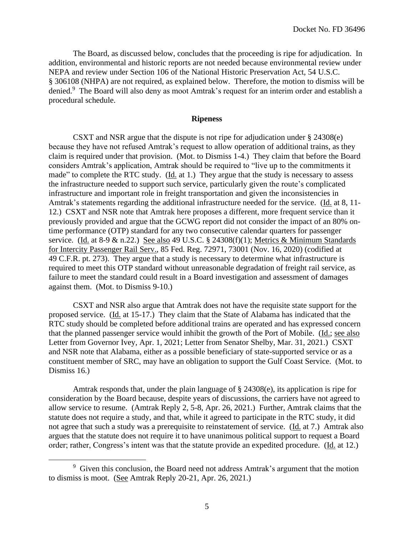The Board, as discussed below, concludes that the proceeding is ripe for adjudication. In addition, environmental and historic reports are not needed because environmental review under NEPA and review under Section 106 of the National Historic Preservation Act, 54 U.S.C. § 306108 (NHPA) are not required, as explained below. Therefore, the motion to dismiss will be denied.<sup>9</sup> The Board will also deny as moot Amtrak's request for an interim order and establish a procedural schedule.

## **Ripeness**

CSXT and NSR argue that the dispute is not ripe for adjudication under § 24308(e) because they have not refused Amtrak's request to allow operation of additional trains, as they claim is required under that provision. (Mot. to Dismiss 1-4.) They claim that before the Board considers Amtrak's application, Amtrak should be required to "live up to the commitments it made" to complete the RTC study. (Id. at 1.) They argue that the study is necessary to assess the infrastructure needed to support such service, particularly given the route's complicated infrastructure and important role in freight transportation and given the inconsistencies in Amtrak's statements regarding the additional infrastructure needed for the service. (Id. at 8, 11- 12.) CSXT and NSR note that Amtrak here proposes a different, more frequent service than it previously provided and argue that the GCWG report did not consider the impact of an 80% ontime performance (OTP) standard for any two consecutive calendar quarters for passenger service. (Id. at 8-9  $\&$  n.22.) See also 49 U.S.C. § 24308(f)(1); Metrics  $\&$  Minimum Standards for Intercity Passenger Rail Serv., 85 Fed. Reg. 72971, 73001 (Nov. 16, 2020) (codified at 49 C.F.R. pt. 273). They argue that a study is necessary to determine what infrastructure is required to meet this OTP standard without unreasonable degradation of freight rail service, as failure to meet the standard could result in a Board investigation and assessment of damages against them. (Mot. to Dismiss 9-10.)

CSXT and NSR also argue that Amtrak does not have the requisite state support for the proposed service. (Id. at 15-17.) They claim that the State of Alabama has indicated that the RTC study should be completed before additional trains are operated and has expressed concern that the planned passenger service would inhibit the growth of the Port of Mobile. (Id.; see also Letter from Governor Ivey, Apr. 1, 2021; Letter from Senator Shelby, Mar. 31, 2021.) CSXT and NSR note that Alabama, either as a possible beneficiary of state-supported service or as a constituent member of SRC, may have an obligation to support the Gulf Coast Service. (Mot. to Dismiss 16.)

Amtrak responds that, under the plain language of § 24308(e), its application is ripe for consideration by the Board because, despite years of discussions, the carriers have not agreed to allow service to resume. (Amtrak Reply 2, 5-8, Apr. 26, 2021.) Further, Amtrak claims that the statute does not require a study, and that, while it agreed to participate in the RTC study, it did not agree that such a study was a prerequisite to reinstatement of service. (Id. at 7.) Amtrak also argues that the statute does not require it to have unanimous political support to request a Board order; rather, Congress's intent was that the statute provide an expedited procedure. (Id. at 12.)

<sup>&</sup>lt;sup>9</sup> Given this conclusion, the Board need not address Amtrak's argument that the motion to dismiss is moot. (See Amtrak Reply 20-21, Apr. 26, 2021.)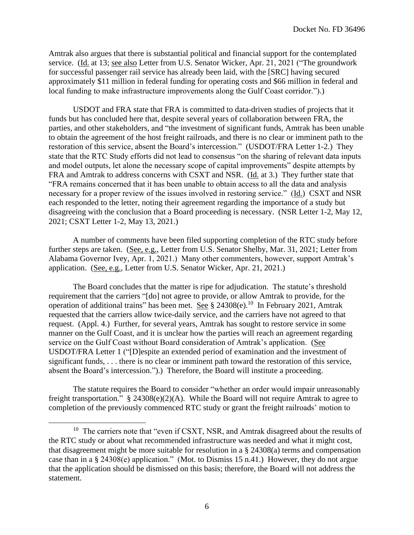Amtrak also argues that there is substantial political and financial support for the contemplated service. (Id. at 13; see also Letter from U.S. Senator Wicker, Apr. 21, 2021 ("The groundwork for successful passenger rail service has already been laid, with the [SRC] having secured approximately \$11 million in federal funding for operating costs and \$66 million in federal and local funding to make infrastructure improvements along the Gulf Coast corridor.").)

USDOT and FRA state that FRA is committed to data-driven studies of projects that it funds but has concluded here that, despite several years of collaboration between FRA, the parties, and other stakeholders, and "the investment of significant funds, Amtrak has been unable to obtain the agreement of the host freight railroads, and there is no clear or imminent path to the restoration of this service, absent the Board's intercession." (USDOT/FRA Letter 1-2.) They state that the RTC Study efforts did not lead to consensus "on the sharing of relevant data inputs and model outputs, let alone the necessary scope of capital improvements" despite attempts by FRA and Amtrak to address concerns with CSXT and NSR. (Id. at 3.) They further state that "FRA remains concerned that it has been unable to obtain access to all the data and analysis necessary for a proper review of the issues involved in restoring service." (Id.) CSXT and NSR each responded to the letter, noting their agreement regarding the importance of a study but disagreeing with the conclusion that a Board proceeding is necessary. (NSR Letter 1-2, May 12, 2021; CSXT Letter 1-2, May 13, 2021.)

A number of comments have been filed supporting completion of the RTC study before further steps are taken. (See, e.g., Letter from U.S. Senator Shelby, Mar. 31, 2021; Letter from Alabama Governor Ivey, Apr. 1, 2021.) Many other commenters, however, support Amtrak's application. (See, e.g., Letter from U.S. Senator Wicker, Apr. 21, 2021.)

The Board concludes that the matter is ripe for adjudication. The statute's threshold requirement that the carriers "[do] not agree to provide, or allow Amtrak to provide, for the operation of additional trains" has been met. See  $\S$  24308(e).<sup>10</sup> In February 2021, Amtrak requested that the carriers allow twice-daily service, and the carriers have not agreed to that request. (Appl. 4.) Further, for several years, Amtrak has sought to restore service in some manner on the Gulf Coast, and it is unclear how the parties will reach an agreement regarding service on the Gulf Coast without Board consideration of Amtrak's application. (See USDOT/FRA Letter 1 ("[D]espite an extended period of examination and the investment of significant funds, . . . there is no clear or imminent path toward the restoration of this service, absent the Board's intercession.").) Therefore, the Board will institute a proceeding.

The statute requires the Board to consider "whether an order would impair unreasonably freight transportation." § 24308(e)(2)(A). While the Board will not require Amtrak to agree to completion of the previously commenced RTC study or grant the freight railroads' motion to

<sup>&</sup>lt;sup>10</sup> The carriers note that "even if CSXT, NSR, and Amtrak disagreed about the results of the RTC study or about what recommended infrastructure was needed and what it might cost, that disagreement might be more suitable for resolution in a § 24308(a) terms and compensation case than in a § 24308(e) application." (Mot. to Dismiss 15 n.41.) However, they do not argue that the application should be dismissed on this basis; therefore, the Board will not address the statement.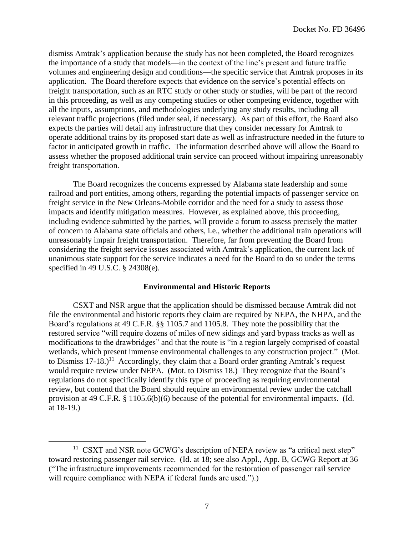dismiss Amtrak's application because the study has not been completed, the Board recognizes the importance of a study that models—in the context of the line's present and future traffic volumes and engineering design and conditions—the specific service that Amtrak proposes in its application. The Board therefore expects that evidence on the service's potential effects on freight transportation, such as an RTC study or other study or studies, will be part of the record in this proceeding, as well as any competing studies or other competing evidence, together with all the inputs, assumptions, and methodologies underlying any study results, including all relevant traffic projections (filed under seal, if necessary). As part of this effort, the Board also expects the parties will detail any infrastructure that they consider necessary for Amtrak to operate additional trains by its proposed start date as well as infrastructure needed in the future to factor in anticipated growth in traffic. The information described above will allow the Board to assess whether the proposed additional train service can proceed without impairing unreasonably freight transportation.

The Board recognizes the concerns expressed by Alabama state leadership and some railroad and port entities, among others, regarding the potential impacts of passenger service on freight service in the New Orleans-Mobile corridor and the need for a study to assess those impacts and identify mitigation measures. However, as explained above, this proceeding, including evidence submitted by the parties, will provide a forum to assess precisely the matter of concern to Alabama state officials and others, i.e., whether the additional train operations will unreasonably impair freight transportation. Therefore, far from preventing the Board from considering the freight service issues associated with Amtrak's application, the current lack of unanimous state support for the service indicates a need for the Board to do so under the terms specified in 49 U.S.C. § 24308(e).

# **Environmental and Historic Reports**

CSXT and NSR argue that the application should be dismissed because Amtrak did not file the environmental and historic reports they claim are required by NEPA, the NHPA, and the Board's regulations at 49 C.F.R. §§ 1105.7 and 1105.8. They note the possibility that the restored service "will require dozens of miles of new sidings and yard bypass tracks as well as modifications to the drawbridges" and that the route is "in a region largely comprised of coastal wetlands, which present immense environmental challenges to any construction project." (Mot. to Dismiss  $17-18$ .)<sup>11</sup> Accordingly, they claim that a Board order granting Amtrak's request would require review under NEPA. (Mot. to Dismiss 18.) They recognize that the Board's regulations do not specifically identify this type of proceeding as requiring environmental review, but contend that the Board should require an environmental review under the catchall provision at 49 C.F.R. § 1105.6(b)(6) because of the potential for environmental impacts. (Id. at 18-19.)

<sup>&</sup>lt;sup>11</sup> CSXT and NSR note GCWG's description of NEPA review as "a critical next step" toward restoring passenger rail service. (Id. at 18; see also Appl., App. B, GCWG Report at 36 ("The infrastructure improvements recommended for the restoration of passenger rail service will require compliance with NEPA if federal funds are used.").)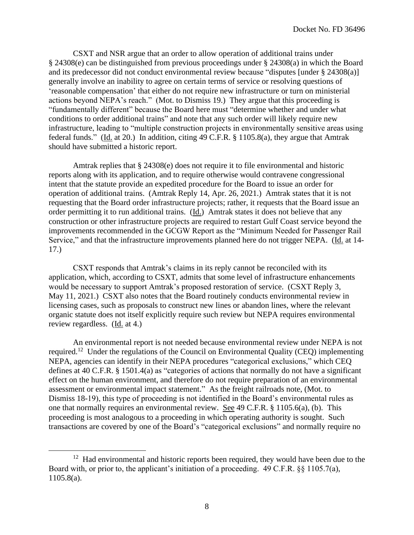CSXT and NSR argue that an order to allow operation of additional trains under § 24308(e) can be distinguished from previous proceedings under § 24308(a) in which the Board and its predecessor did not conduct environmental review because "disputes [under § 24308(a)] generally involve an inability to agree on certain terms of service or resolving questions of 'reasonable compensation' that either do not require new infrastructure or turn on ministerial actions beyond NEPA's reach." (Mot. to Dismiss 19.) They argue that this proceeding is "fundamentally different" because the Board here must "determine whether and under what conditions to order additional trains" and note that any such order will likely require new infrastructure, leading to "multiple construction projects in environmentally sensitive areas using federal funds." (Id. at 20.) In addition, citing 49 C.F.R. § 1105.8(a), they argue that Amtrak should have submitted a historic report.

Amtrak replies that § 24308(e) does not require it to file environmental and historic reports along with its application, and to require otherwise would contravene congressional intent that the statute provide an expedited procedure for the Board to issue an order for operation of additional trains. (Amtrak Reply 14, Apr. 26, 2021.) Amtrak states that it is not requesting that the Board order infrastructure projects; rather, it requests that the Board issue an order permitting it to run additional trains. (Id.) Amtrak states it does not believe that any construction or other infrastructure projects are required to restart Gulf Coast service beyond the improvements recommended in the GCGW Report as the "Minimum Needed for Passenger Rail Service," and that the infrastructure improvements planned here do not trigger NEPA. (Id. at 14-17.)

CSXT responds that Amtrak's claims in its reply cannot be reconciled with its application, which, according to CSXT, admits that some level of infrastructure enhancements would be necessary to support Amtrak's proposed restoration of service. (CSXT Reply 3, May 11, 2021.) CSXT also notes that the Board routinely conducts environmental review in licensing cases, such as proposals to construct new lines or abandon lines, where the relevant organic statute does not itself explicitly require such review but NEPA requires environmental review regardless. (Id. at 4.)

An environmental report is not needed because environmental review under NEPA is not required.<sup>12</sup> Under the regulations of the Council on Environmental Quality (CEQ) implementing NEPA, agencies can identify in their NEPA procedures "categorical exclusions," which CEQ defines at 40 C.F.R. § 1501.4(a) as "categories of actions that normally do not have a significant effect on the human environment, and therefore do not require preparation of an environmental assessment or environmental impact statement." As the freight railroads note, (Mot. to Dismiss 18-19), this type of proceeding is not identified in the Board's environmental rules as one that normally requires an environmental review. See 49 C.F.R. § 1105.6(a), (b). This proceeding is most analogous to a proceeding in which operating authority is sought. Such transactions are covered by one of the Board's "categorical exclusions" and normally require no

 $12$  Had environmental and historic reports been required, they would have been due to the Board with, or prior to, the applicant's initiation of a proceeding. 49 C.F.R. §§ 1105.7(a), 1105.8(a).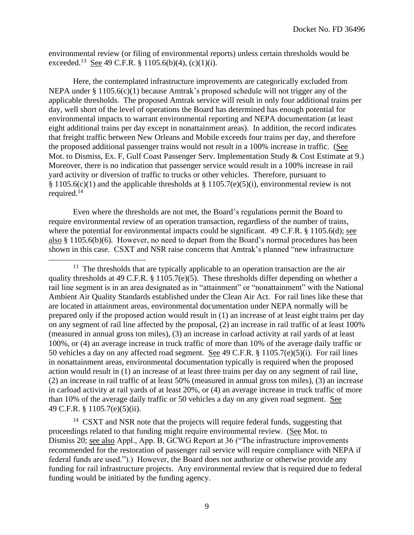environmental review (or filing of environmental reports) unless certain thresholds would be exceeded.<sup>13</sup> <u>See</u> 49 C.F.R. § 1105.6(b)(4), (c)(1)(i).

Here, the contemplated infrastructure improvements are categorically excluded from NEPA under § 1105.6(c)(1) because Amtrak's proposed schedule will not trigger any of the applicable thresholds. The proposed Amtrak service will result in only four additional trains per day, well short of the level of operations the Board has determined has enough potential for environmental impacts to warrant environmental reporting and NEPA documentation (at least eight additional trains per day except in nonattainment areas). In addition, the record indicates that freight traffic between New Orleans and Mobile exceeds four trains per day, and therefore the proposed additional passenger trains would not result in a 100% increase in traffic. (See Mot. to Dismiss, Ex. F, Gulf Coast Passenger Serv. Implementation Study & Cost Estimate at 9.) Moreover, there is no indication that passenger service would result in a 100% increase in rail yard activity or diversion of traffic to trucks or other vehicles. Therefore, pursuant to § 1105.6(c)(1) and the applicable thresholds at § 1105.7(e)(5)(i), environmental review is not required.<sup>14</sup>

Even where the thresholds are not met, the Board's regulations permit the Board to require environmental review of an operation transaction, regardless of the number of trains, where the potential for environmental impacts could be significant. 49 C.F.R. § 1105.6(d); see also § 1105.6(b)(6). However, no need to depart from the Board's normal procedures has been shown in this case. CSXT and NSR raise concerns that Amtrak's planned "new infrastructure

<sup>13</sup> The thresholds that are typically applicable to an operation transaction are the air quality thresholds at 49 C.F.R. § 1105.7(e)(5). These thresholds differ depending on whether a rail line segment is in an area designated as in "attainment" or "nonattainment" with the National Ambient Air Quality Standards established under the Clean Air Act. For rail lines like these that are located in attainment areas, environmental documentation under NEPA normally will be prepared only if the proposed action would result in (1) an increase of at least eight trains per day on any segment of rail line affected by the proposal, (2) an increase in rail traffic of at least 100% (measured in annual gross ton miles), (3) an increase in carload activity at rail yards of at least 100%, or (4) an average increase in truck traffic of more than 10% of the average daily traffic or 50 vehicles a day on any affected road segment. See 49 C.F.R. § 1105.7(e)(5)(i). For rail lines in nonattainment areas, environmental documentation typically is required when the proposed action would result in (1) an increase of at least three trains per day on any segment of rail line, (2) an increase in rail traffic of at least 50% (measured in annual gross ton miles), (3) an increase in carload activity at rail yards of at least 20%, or (4) an average increase in truck traffic of more than 10% of the average daily traffic or 50 vehicles a day on any given road segment. See 49 C.F.R. § 1105.7(e)(5)(ii).

<sup>14</sup> CSXT and NSR note that the projects will require federal funds, suggesting that proceedings related to that funding might require environmental review. (See Mot. to Dismiss 20; see also Appl., App. B, GCWG Report at 36 ("The infrastructure improvements recommended for the restoration of passenger rail service will require compliance with NEPA if federal funds are used.").) However, the Board does not authorize or otherwise provide any funding for rail infrastructure projects. Any environmental review that is required due to federal funding would be initiated by the funding agency.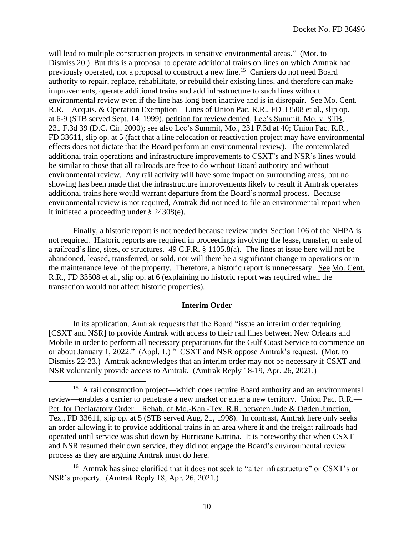will lead to multiple construction projects in sensitive environmental areas." (Mot. to Dismiss 20.) But this is a proposal to operate additional trains on lines on which Amtrak had previously operated, not a proposal to construct a new line.<sup>15</sup> Carriers do not need Board authority to repair, replace, rehabilitate, or rebuild their existing lines, and therefore can make improvements, operate additional trains and add infrastructure to such lines without environmental review even if the line has long been inactive and is in disrepair. See Mo. Cent. R.R.—Acquis. & Operation Exemption—Lines of Union Pac. R.R., FD 33508 et al., slip op. at 6-9 (STB served Sept. 14, 1999), petition for review denied, Lee's Summit, Mo. v. STB, 231 F.3d 39 (D.C. Cir. 2000); see also Lee's Summit, Mo., 231 F.3d at 40; Union Pac. R.R., FD 33611, slip op. at 5 (fact that a line relocation or reactivation project may have environmental effects does not dictate that the Board perform an environmental review). The contemplated additional train operations and infrastructure improvements to CSXT's and NSR's lines would be similar to those that all railroads are free to do without Board authority and without environmental review. Any rail activity will have some impact on surrounding areas, but no showing has been made that the infrastructure improvements likely to result if Amtrak operates additional trains here would warrant departure from the Board's normal process. Because environmental review is not required, Amtrak did not need to file an environmental report when it initiated a proceeding under § 24308(e).

Finally, a historic report is not needed because review under Section 106 of the NHPA is not required. Historic reports are required in proceedings involving the lease, transfer, or sale of a railroad's line, sites, or structures. 49 C.F.R. § 1105.8(a). The lines at issue here will not be abandoned, leased, transferred, or sold, nor will there be a significant change in operations or in the maintenance level of the property. Therefore, a historic report is unnecessary. See Mo. Cent. R.R., FD 33508 et al., slip op. at 6 (explaining no historic report was required when the transaction would not affect historic properties).

## **Interim Order**

In its application, Amtrak requests that the Board "issue an interim order requiring [CSXT and NSR] to provide Amtrak with access to their rail lines between New Orleans and Mobile in order to perform all necessary preparations for the Gulf Coast Service to commence on or about January 1, 2022."  $(Appl. 1.)^{16}$  CSXT and NSR oppose Amtrak's request. (Mot. to Dismiss 22-23.) Amtrak acknowledges that an interim order may not be necessary if CSXT and NSR voluntarily provide access to Amtrak. (Amtrak Reply 18-19, Apr. 26, 2021.)

<sup>16</sup> Amtrak has since clarified that it does not seek to "alter infrastructure" or CSXT's or NSR's property. (Amtrak Reply 18, Apr. 26, 2021.)

<sup>&</sup>lt;sup>15</sup> A rail construction project—which does require Board authority and an environmental review—enables a carrier to penetrate a new market or enter a new territory. Union Pac. R.R.— Pet. for Declaratory Order—Rehab. of Mo.-Kan.-Tex. R.R. between Jude & Ogden Junction, Tex., FD 33611, slip op. at 5 (STB served Aug. 21, 1998). In contrast, Amtrak here only seeks an order allowing it to provide additional trains in an area where it and the freight railroads had operated until service was shut down by Hurricane Katrina. It is noteworthy that when CSXT and NSR resumed their own service, they did not engage the Board's environmental review process as they are arguing Amtrak must do here.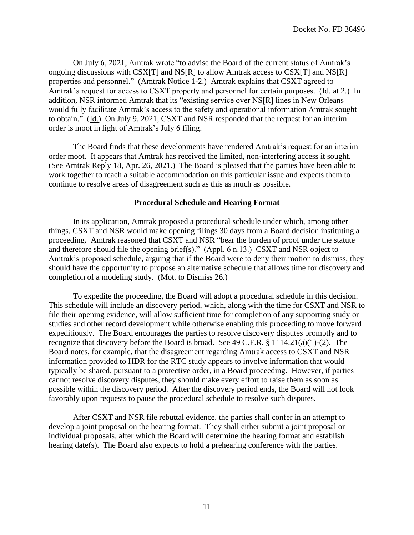On July 6, 2021, Amtrak wrote "to advise the Board of the current status of Amtrak's ongoing discussions with CSX[T] and NS[R] to allow Amtrak access to CSX[T] and NS[R] properties and personnel." (Amtrak Notice 1-2.) Amtrak explains that CSXT agreed to Amtrak's request for access to CSXT property and personnel for certain purposes. (Id. at 2.) In addition, NSR informed Amtrak that its "existing service over NS[R] lines in New Orleans would fully facilitate Amtrak's access to the safety and operational information Amtrak sought to obtain." (Id.) On July 9, 2021, CSXT and NSR responded that the request for an interim order is moot in light of Amtrak's July 6 filing.

The Board finds that these developments have rendered Amtrak's request for an interim order moot. It appears that Amtrak has received the limited, non-interfering access it sought. (See Amtrak Reply 18, Apr. 26, 2021.) The Board is pleased that the parties have been able to work together to reach a suitable accommodation on this particular issue and expects them to continue to resolve areas of disagreement such as this as much as possible.

# **Procedural Schedule and Hearing Format**

In its application, Amtrak proposed a procedural schedule under which, among other things, CSXT and NSR would make opening filings 30 days from a Board decision instituting a proceeding. Amtrak reasoned that CSXT and NSR "bear the burden of proof under the statute and therefore should file the opening brief(s)." (Appl. 6 n.13.) CSXT and NSR object to Amtrak's proposed schedule, arguing that if the Board were to deny their motion to dismiss, they should have the opportunity to propose an alternative schedule that allows time for discovery and completion of a modeling study. (Mot. to Dismiss 26.)

To expedite the proceeding, the Board will adopt a procedural schedule in this decision. This schedule will include an discovery period, which, along with the time for CSXT and NSR to file their opening evidence, will allow sufficient time for completion of any supporting study or studies and other record development while otherwise enabling this proceeding to move forward expeditiously. The Board encourages the parties to resolve discovery disputes promptly and to recognize that discovery before the Board is broad. See 49 C.F.R. § 1114.21(a)(1)-(2). The Board notes, for example, that the disagreement regarding Amtrak access to CSXT and NSR information provided to HDR for the RTC study appears to involve information that would typically be shared, pursuant to a protective order, in a Board proceeding. However, if parties cannot resolve discovery disputes, they should make every effort to raise them as soon as possible within the discovery period. After the discovery period ends, the Board will not look favorably upon requests to pause the procedural schedule to resolve such disputes.

After CSXT and NSR file rebuttal evidence, the parties shall confer in an attempt to develop a joint proposal on the hearing format. They shall either submit a joint proposal or individual proposals, after which the Board will determine the hearing format and establish hearing date(s). The Board also expects to hold a prehearing conference with the parties.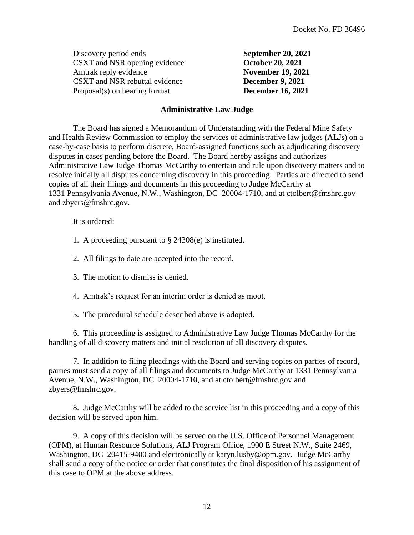| Discovery period ends          | <b>September 20, 2021</b> |
|--------------------------------|---------------------------|
| CSXT and NSR opening evidence  | <b>October 20, 2021</b>   |
| Amtrak reply evidence          | <b>November 19, 2021</b>  |
| CSXT and NSR rebuttal evidence | <b>December 9, 2021</b>   |
| Proposal(s) on hearing format  | <b>December 16, 2021</b>  |

## **Administrative Law Judge**

The Board has signed a Memorandum of Understanding with the Federal Mine Safety and Health Review Commission to employ the services of administrative law judges (ALJs) on a case-by-case basis to perform discrete, Board-assigned functions such as adjudicating discovery disputes in cases pending before the Board. The Board hereby assigns and authorizes Administrative Law Judge Thomas McCarthy to entertain and rule upon discovery matters and to resolve initially all disputes concerning discovery in this proceeding. Parties are directed to send copies of all their filings and documents in this proceeding to Judge McCarthy at 1331 Pennsylvania Avenue, N.W., Washington, DC 20004-1710, and at ctolbert@fmshrc.gov and zbyers@fmshrc.gov.

## It is ordered:

- 1. A proceeding pursuant to § 24308(e) is instituted.
- 2. All filings to date are accepted into the record.
- 3. The motion to dismiss is denied.
- 4. Amtrak's request for an interim order is denied as moot.
- 5. The procedural schedule described above is adopted.

6. This proceeding is assigned to Administrative Law Judge Thomas McCarthy for the handling of all discovery matters and initial resolution of all discovery disputes.

7. In addition to filing pleadings with the Board and serving copies on parties of record, parties must send a copy of all filings and documents to Judge McCarthy at 1331 Pennsylvania Avenue, N.W., Washington, DC 20004-1710, and at ctolbert@fmshrc.gov and zbyers@fmshrc.gov.

8. Judge McCarthy will be added to the service list in this proceeding and a copy of this decision will be served upon him.

9. A copy of this decision will be served on the U.S. Office of Personnel Management (OPM), at Human Resource Solutions, ALJ Program Office, 1900 E Street N.W., Suite 2469, Washington, DC 20415-9400 and electronically at karyn.lusby@opm.gov. Judge McCarthy shall send a copy of the notice or order that constitutes the final disposition of his assignment of this case to OPM at the above address.